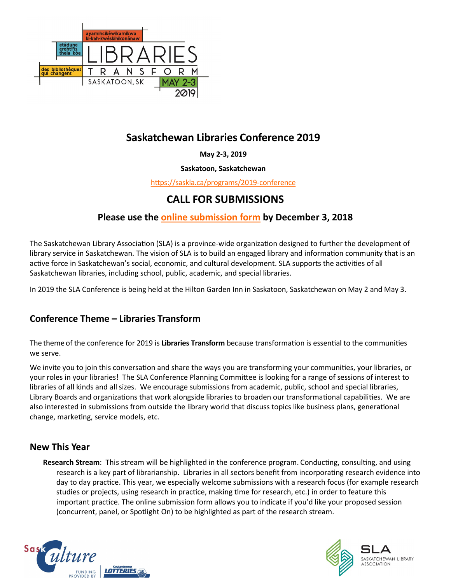

# **Saskatchewan Libraries Conference 2019**

**May 2-3, 2019**

### **Saskatoon, Saskatchewan**

[https://saskla.ca/programs/2019](https://saskla.ca/programs/2019-conference)-conference

# **CALL FOR SUBMISSIONS**

## **Please use the [online submission form](https://saskla.wufoo.eu/forms/zq680k912qfaz0/) by December 3, 2018**

The Saskatchewan Library Association (SLA) is a province-wide organization designed to further the development of library service in Saskatchewan. The vision of SLA is to build an engaged library and information community that is an active force in Saskatchewan's social, economic, and cultural development. SLA supports the activities of all Saskatchewan libraries, including school, public, academic, and special libraries.

In 2019 the SLA Conference is being held at the Hilton Garden Inn in Saskatoon, Saskatchewan on May 2 and May 3.

## **Conference Theme – Libraries Transform**

The theme of the conference for 2019 is **Libraries Transform** because transformation is essential to the communities we serve.

We invite you to join this conversation and share the ways you are transforming your communities, your libraries, or your roles in your libraries! The SLA Conference Planning Committee is looking for a range of sessions of interest to libraries of all kinds and all sizes. We encourage submissions from academic, public, school and special libraries, Library Boards and organizations that work alongside libraries to broaden our transformational capabilities. We are also interested in submissions from outside the library world that discuss topics like business plans, generational change, marketing, service models, etc.

### **New This Year**

**Research Stream**: This stream will be highlighted in the conference program. Conducting, consulting, and using research is a key part of librarianship. Libraries in all sectors benefit from incorporating research evidence into day to day practice. This year, we especially welcome submissions with a research focus (for example research studies or projects, using research in practice, making time for research, etc.) in order to feature this important practice. The online submission form allows you to indicate if you'd like your proposed session (concurrent, panel, or Spotlight On) to be highlighted as part of the research stream.